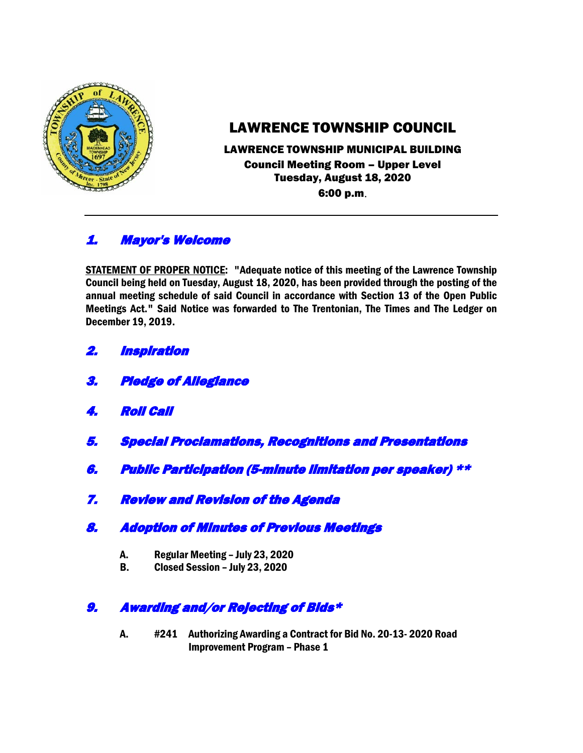

# LAWRENCE TOWNSHIP COUNCIL

#### LAWRENCE TOWNSHIP MUNICIPAL BUILDING Council Meeting Room – Upper Level Tuesday, August 18, 2020 6:00 p.m.

## 1. Mayor's Welcome

STATEMENT OF PROPER NOTICE: "Adequate notice of this meeting of the Lawrence Township Council being held on Tuesday, August 18, 2020, has been provided through the posting of the annual meeting schedule of said Council in accordance with Section 13 of the Open Public Meetings Act." Said Notice was forwarded to The Trentonian, The Times and The Ledger on December 19, 2019.

- 2. Inspiration
- 3. Pledge of Allegiance
- 4. Roll Call
- 5. Special Proclamations, Recognitions and Presentations
- 6. Public Participation (5-minute limitation per speaker) \*\*
- 7. Review and Revision of the Agenda
- 8. Adoption of Minutes of Previous Meetings
	- A. Regular Meeting July 23, 2020
	- B. Closed Session July 23, 2020

### 9. Awarding and/or Rejecting of Bids\*

A. #241 Authorizing Awarding a Contract for Bid No. 20-13- 2020 Road Improvement Program – Phase 1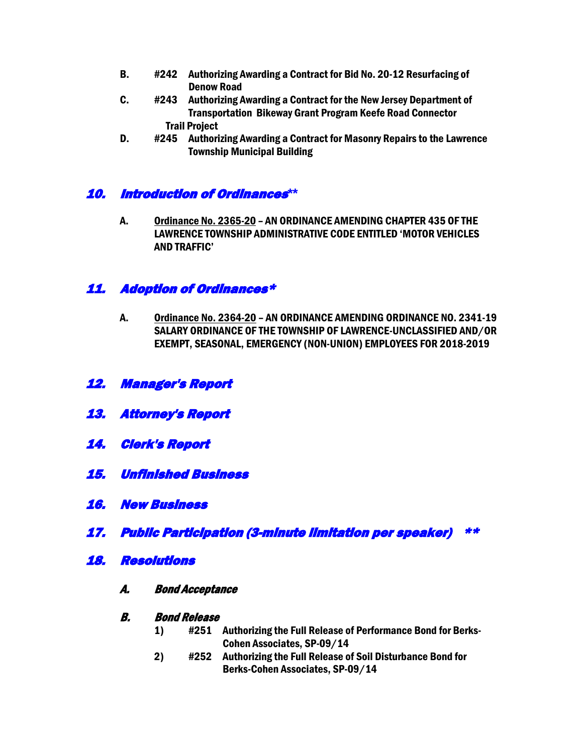- B. #242 Authorizing Awarding a Contract for Bid No. 20-12 Resurfacing of Denow Road
- C. #243 Authorizing Awarding a Contract for the New Jersey Department of Transportation Bikeway Grant Program Keefe Road Connector Trail Project
- D. #245 Authorizing Awarding a Contract for Masonry Repairs to the Lawrence Township Municipal Building

#### 10. Introduction of Ordinances**\*\***

A. Ordinance No. 2365-20 – AN ORDINANCE AMENDING CHAPTER 435 OF THE LAWRENCE TOWNSHIP ADMINISTRATIVE CODE ENTITLED 'MOTOR VEHICLES AND TRAFFIC'

#### 11. Adoption of Ordinances\*

- A. Ordinance No. 2364-20 AN ORDINANCE AMENDING ORDINANCE NO. 2341-19 SALARY ORDINANCE OF THE TOWNSHIP OF LAWRENCE-UNCLASSIFIED AND/OR EXEMPT, SEASONAL, EMERGENCY (NON-UNION) EMPLOYEES FOR 2018-2019
- 12. Manager's Report
- 13. Attorney's Report
- 14. Clerk's Report
- 15. Unfinished Business
- 16. New Business
- 17. Public Participation (3-minute limitation per speaker) \*\*
- 18. Resolutions
	- A. Bond Acceptance

#### B. Bond Release

- 1) #251 Authorizing the Full Release of Performance Bond for Berks-Cohen Associates, SP-09/14
- 2) #252 Authorizing the Full Release of Soil Disturbance Bond for Berks-Cohen Associates, SP-09/14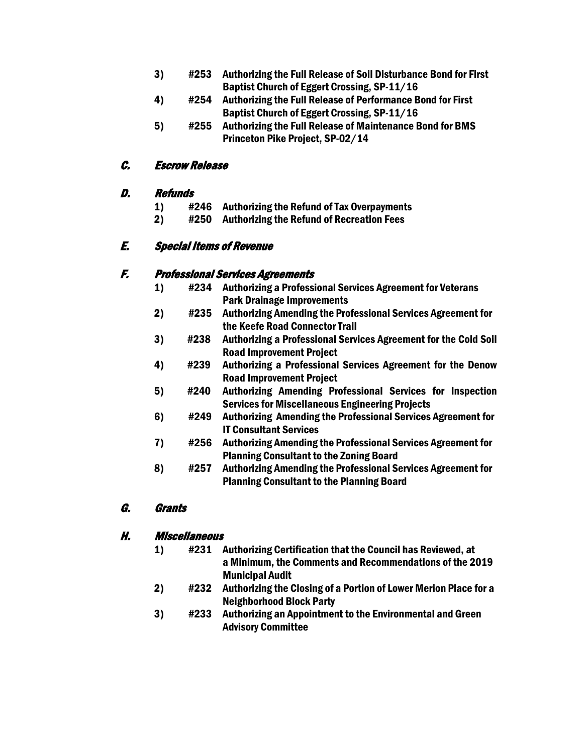- 3) #253 Authorizing the Full Release of Soil Disturbance Bond for First Baptist Church of Eggert Crossing, SP-11/16
- 4) #254 Authorizing the Full Release of Performance Bond for First Baptist Church of Eggert Crossing, SP-11/16
- 5) #255 Authorizing the Full Release of Maintenance Bond for BMS Princeton Pike Project, SP-02/14

#### C. Escrow Release

#### D. Refunds

- 1) #246 Authorizing the Refund of Tax Overpayments
- 2) #250 Authorizing the Refund of Recreation Fees

#### E. Special Items of Revenue

#### F. Professional Services Agreements

- 1) #234 Authorizing a Professional Services Agreement for Veterans Park Drainage Improvements
- 2) #235 Authorizing Amending the Professional Services Agreement for the Keefe Road Connector Trail
- 3) #238 Authorizing a Professional Services Agreement for the Cold Soil Road Improvement Project
- 4) #239 Authorizing a Professional Services Agreement for the Denow Road Improvement Project
- 5) #240 Authorizing Amending Professional Services for Inspection Services for Miscellaneous Engineering Projects
- 6) #249 Authorizing Amending the Professional Services Agreement for IT Consultant Services
- 7) #256 Authorizing Amending the Professional Services Agreement for Planning Consultant to the Zoning Board
- 8) #257 Authorizing Amending the Professional Services Agreement for Planning Consultant to the Planning Board

### G. Grants

#### H. Miscellaneous

- 1) #231 Authorizing Certification that the Council has Reviewed, at a Minimum, the Comments and Recommendations of the 2019 Municipal Audit
- 2) #232 Authorizing the Closing of a Portion of Lower Merion Place for a Neighborhood Block Party
- 3) #233 Authorizing an Appointment to the Environmental and Green Advisory Committee